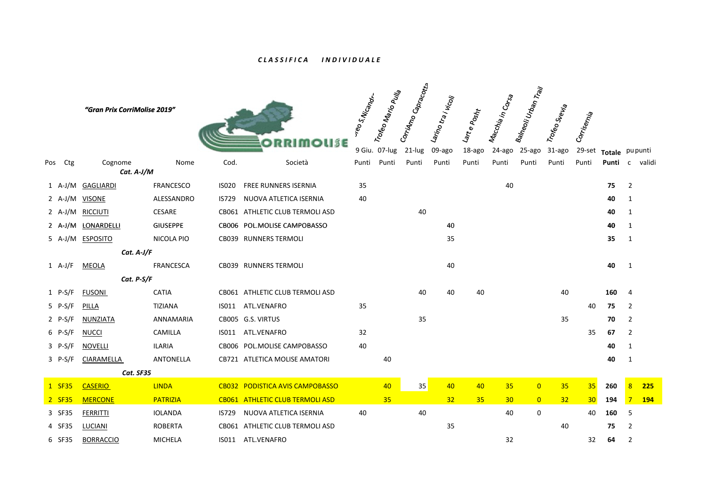## *C L A S S I F I C A I N D I V I D U A L E*

|     |           | "Gran Prix CorriMolise 2019" |                  |              |                                  | vreo s. Nicandr. | Trofeo Mario Pulla<br>9 Giu. 07-lug | Corridmo Capracotta<br>21-lug | Larino tra i vicoji<br>09-ago | Lart e Posht<br>18-ago | Macchia in Corsa<br>24-ago | Balneoli Urban Trail<br>25-ago | Trofeo Svevia<br>31-ago | Corrisernia<br>29-set | Totale pupunti |                |            |
|-----|-----------|------------------------------|------------------|--------------|----------------------------------|------------------|-------------------------------------|-------------------------------|-------------------------------|------------------------|----------------------------|--------------------------------|-------------------------|-----------------------|----------------|----------------|------------|
| Pos | Ctg       | Cognome<br>$Cat. A-J/M$      | Nome             | Cod.         | Società                          | Punti            | Punti                               | Punti                         | Punti                         | Punti                  | Punti                      | Punti                          | Punti                   | Punti                 | Punti          | $\mathsf{C}$   | validi     |
|     | $1$ A-J/M | <b>GAGLIARDI</b>             | <b>FRANCESCO</b> | ISO20        | <b>FREE RUNNERS ISERNIA</b>      | 35               |                                     |                               |                               |                        | 40                         |                                |                         |                       | 75             | $\overline{2}$ |            |
|     | 2 $A-J/M$ | <b>VISONE</b>                | ALESSANDRO       | IS729        | NUOVA ATLETICA ISERNIA           | 40               |                                     |                               |                               |                        |                            |                                |                         |                       | 40             | 1              |            |
|     | 2 $A-J/M$ | <b>RICCIUTI</b>              | <b>CESARE</b>    |              | CB061 ATHLETIC CLUB TERMOLI ASD  |                  |                                     | 40                            |                               |                        |                            |                                |                         |                       | 40             | 1              |            |
|     | 2 $A-J/M$ | LONARDELLI                   | <b>GIUSEPPE</b>  |              | CB006 POL.MOLISE CAMPOBASSO      |                  |                                     |                               | 40                            |                        |                            |                                |                         |                       | 40             | 1              |            |
|     | 5 $A-J/M$ | <b>ESPOSITO</b>              | NICOLA PIO       |              | CB039 RUNNERS TERMOLI            |                  |                                     |                               | 35                            |                        |                            |                                |                         |                       | 35             | 1              |            |
|     |           | $Cat. A-J/F$                 |                  |              |                                  |                  |                                     |                               |                               |                        |                            |                                |                         |                       |                |                |            |
|     | $1 A-J/F$ | MEOLA                        | <b>FRANCESCA</b> |              | CB039 RUNNERS TERMOLI            |                  |                                     |                               | 40                            |                        |                            |                                |                         |                       | 40             | $\mathbf{1}$   |            |
|     |           | Cat. P-S/F                   |                  |              |                                  |                  |                                     |                               |                               |                        |                            |                                |                         |                       |                |                |            |
|     | $1$ P-S/F | <b>FUSONI</b>                | <b>CATIA</b>     |              | CB061 ATHLETIC CLUB TERMOLI ASD  |                  |                                     | 40                            | 40                            | 40                     |                            |                                | 40                      |                       | 160            | 4              |            |
|     | 5 P-S/F   | PILLA                        | TIZIANA          | IS011        | ATL.VENAFRO                      | 35               |                                     |                               |                               |                        |                            |                                |                         | 40                    | 75             | $\overline{2}$ |            |
|     | 2 $P-S/F$ | NUNZIATA                     | ANNAMARIA        |              | CB005 G.S. VIRTUS                |                  |                                     | 35                            |                               |                        |                            |                                | 35                      |                       | 70             | $\overline{2}$ |            |
|     | $6$ P-S/F | <b>NUCCI</b>                 | CAMILLA          | IS011        | ATL.VENAFRO                      | 32               |                                     |                               |                               |                        |                            |                                |                         | 35                    | 67             | $\overline{2}$ |            |
|     | $3$ P-S/F | <b>NOVELLI</b>               | <b>ILARIA</b>    |              | CB006 POL.MOLISE CAMPOBASSO      | 40               |                                     |                               |                               |                        |                            |                                |                         |                       | 40             | $\mathbf{1}$   |            |
|     | $3$ P-S/F | CIARAMELLA                   | ANTONELLA        |              | CB721 ATLETICA MOLISE AMATORI    |                  | 40                                  |                               |                               |                        |                            |                                |                         |                       | 40             | 1              |            |
|     |           | Cat. SF35                    |                  |              |                                  |                  |                                     |                               |                               |                        |                            |                                |                         |                       |                |                |            |
|     | 1 SF35    | <b>CASERIO</b>               | <b>LINDA</b>     |              | CB032 PODISTICA AVIS CAMPOBASSO  |                  | 40                                  | 35                            | 40                            | 40                     | 35                         | $\overline{0}$                 | 35                      | 35                    | 260            | 8              | 225        |
|     | 2 SF35    | <b>MERCONE</b>               | <b>PATRIZIA</b>  | <b>CB061</b> | <b>ATHLETIC CLUB TERMOLI ASD</b> |                  | 35                                  |                               | 32                            | 35                     | 30 <sub>o</sub>            | $\overline{0}$                 | 32                      | 30                    | 194            | $\overline{7}$ | <b>194</b> |
|     | 3 SF35    | FERRITTI                     | <b>IOLANDA</b>   | <b>IS729</b> | NUOVA ATLETICA ISERNIA           | 40               |                                     | 40                            |                               |                        | 40                         | 0                              |                         | 40                    | 160            | 5              |            |
|     | 4 SF35    | LUCIANI                      | <b>ROBERTA</b>   |              | CB061 ATHLETIC CLUB TERMOLI ASD  |                  |                                     |                               | 35                            |                        |                            |                                | 40                      |                       | 75             | $\overline{2}$ |            |
|     | 6 SF35    | <b>BORRACCIO</b>             | <b>MICHELA</b>   |              | IS011 ATL.VENAFRO                |                  |                                     |                               |                               |                        | 32                         |                                |                         | 32                    | 64             | $\overline{2}$ |            |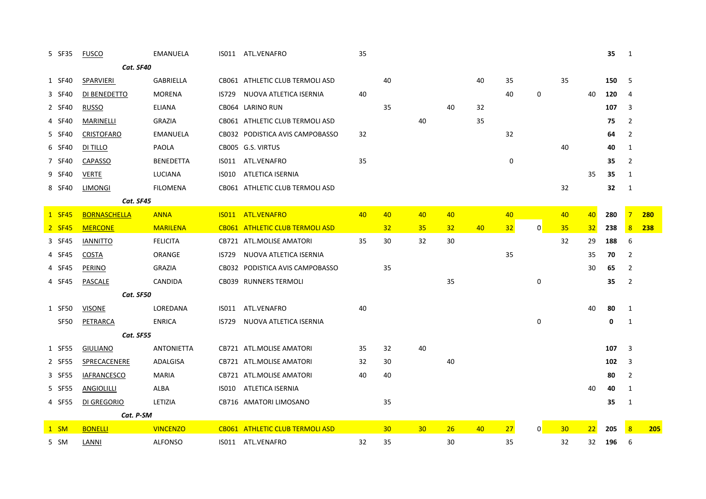| 5 SF35      | <b>FUSCO</b>        | <b>EMANUELA</b>   |              | IS011 ATL.VENAFRO               | 35 |    |                 |    |    |             |                |    |    | 35  | 1              |     |
|-------------|---------------------|-------------------|--------------|---------------------------------|----|----|-----------------|----|----|-------------|----------------|----|----|-----|----------------|-----|
|             | Cat. SF40           |                   |              |                                 |    |    |                 |    |    |             |                |    |    |     |                |     |
| 1 SF40      | <b>SPARVIERI</b>    | GABRIELLA         |              | CB061 ATHLETIC CLUB TERMOLI ASD |    | 40 |                 |    | 40 | 35          |                | 35 |    | 150 | 5              |     |
| 3 SF40      | DI BENEDETTO        | <b>MORENA</b>     | <b>IS729</b> | NUOVA ATLETICA ISERNIA          | 40 |    |                 |    |    | 40          | 0              |    | 40 | 120 | $\overline{4}$ |     |
| 2 SF40      | <b>RUSSO</b>        | <b>ELIANA</b>     |              | CB064 LARINO RUN                |    | 35 |                 | 40 | 32 |             |                |    |    | 107 | 3              |     |
| 4 SF40      | MARINELLI           | <b>GRAZIA</b>     |              | CB061 ATHLETIC CLUB TERMOLI ASD |    |    | 40              |    | 35 |             |                |    |    | 75  | $\overline{2}$ |     |
| 5 SF40      | <b>CRISTOFARO</b>   | EMANUELA          |              | CB032 PODISTICA AVIS CAMPOBASSO | 32 |    |                 |    |    | 32          |                |    |    | 64  | $\overline{2}$ |     |
| 6 SF40      | DI TILLO            | PAOLA             |              | CB005 G.S. VIRTUS               |    |    |                 |    |    |             |                | 40 |    | 40  | 1              |     |
| 7 SF40      | CAPASSO             | <b>BENEDETTA</b>  |              | IS011 ATL.VENAFRO               | 35 |    |                 |    |    | $\mathbf 0$ |                |    |    | 35  | $\overline{2}$ |     |
| 9 SF40      | <b>VERTE</b>        | LUCIANA           | IS010        | ATLETICA ISERNIA                |    |    |                 |    |    |             |                |    | 35 | 35  | 1              |     |
| 8 SF40      | LIMONGI             | <b>FILOMENA</b>   |              | CB061 ATHLETIC CLUB TERMOLI ASD |    |    |                 |    |    |             |                | 32 |    | 32  | 1              |     |
|             | Cat. SF45           |                   |              |                                 |    |    |                 |    |    |             |                |    |    |     |                |     |
| 1 SF45      | <b>BORNASCHELLA</b> | <b>ANNA</b>       |              | IS011 ATL.VENAFRO               | 40 | 40 | 40              | 40 |    | 40          |                | 40 | 40 | 280 | $\overline{7}$ | 280 |
| 2 SF45      | <b>MERCONE</b>      | <b>MARILENA</b>   |              | CB061 ATHLETIC CLUB TERMOLI ASD |    | 32 | 35              | 32 | 40 | 32          | $\overline{0}$ | 35 | 32 | 238 | 8              | 238 |
| 3 SF45      | <b>IANNITTO</b>     | <b>FELICITA</b>   |              | CB721 ATL.MOLISE AMATORI        | 35 | 30 | 32              | 30 |    |             |                | 32 | 29 | 188 | 6              |     |
| 4 SF45      | COSTA               | ORANGE            | IS729        | NUOVA ATLETICA ISERNIA          |    |    |                 |    |    | 35          |                |    | 35 | 70  | 2              |     |
| 4 SF45      | <b>PERINO</b>       | <b>GRAZIA</b>     |              | CB032 PODISTICA AVIS CAMPOBASSO |    | 35 |                 |    |    |             |                |    | 30 | 65  | $\overline{2}$ |     |
| 4 SF45      | <b>PASCALE</b>      | CANDIDA           |              | CB039 RUNNERS TERMOLI           |    |    |                 | 35 |    |             | 0              |    |    | 35  | $\overline{2}$ |     |
|             | Cat. SF50           |                   |              |                                 |    |    |                 |    |    |             |                |    |    |     |                |     |
| 1 SF50      | <b>VISONE</b>       | LOREDANA          | ISO11        | ATL.VENAFRO                     | 40 |    |                 |    |    |             |                |    | 40 | 80  | 1              |     |
| <b>SF50</b> | PETRARCA            | <b>ENRICA</b>     | IS729        | NUOVA ATLETICA ISERNIA          |    |    |                 |    |    |             | 0              |    |    | 0   | 1              |     |
|             | Cat. SF55           |                   |              |                                 |    |    |                 |    |    |             |                |    |    |     |                |     |
| 1 SF55      | <b>GIULIANO</b>     | <b>ANTONIETTA</b> |              | CB721 ATL.MOLISE AMATORI        | 35 | 32 | 40              |    |    |             |                |    |    | 107 | 3              |     |
| 2 SF55      | SPRECACENERE        | ADALGISA          |              | CB721 ATL.MOLISE AMATORI        | 32 | 30 |                 | 40 |    |             |                |    |    | 102 | 3              |     |
| 3 SF55      | <b>IAFRANCESCO</b>  | <b>MARIA</b>      |              | CB721 ATL.MOLISE AMATORI        | 40 | 40 |                 |    |    |             |                |    |    | 80  | $\overline{2}$ |     |
| 5 SF55      | <b>ANGIOLILLI</b>   | ALBA              | ISO10        | ATLETICA ISERNIA                |    |    |                 |    |    |             |                |    | 40 | 40  | 1              |     |
| 4 SF55      | DI GREGORIO         | LETIZIA           |              | CB716 AMATORI LIMOSANO          |    | 35 |                 |    |    |             |                |    |    | 35  | 1              |     |
|             | Cat. P-SM           |                   |              |                                 |    |    |                 |    |    |             |                |    |    |     |                |     |
| $1$ SM      | <b>BONELLI</b>      | <b>VINCENZO</b>   |              | CB061 ATHLETIC CLUB TERMOLI ASD |    | 30 | 30 <sub>2</sub> | 26 | 40 | 27          | $\overline{0}$ | 30 | 22 | 205 | 8              | 205 |
| 5 SM        | LANNI               | <b>ALFONSO</b>    |              | IS011 ATL.VENAFRO               | 32 | 35 |                 | 30 |    | 35          |                | 32 | 32 | 196 | 6              |     |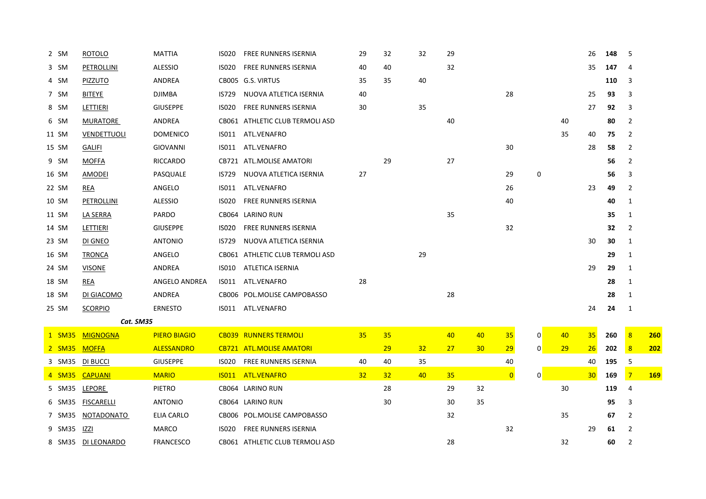| 2 SM   | <b>ROTOLO</b>      | <b>MATTIA</b>       | <b>ISO20</b> | <b>FREE RUNNERS ISERNIA</b>     | 29              | 32 | 32 | 29 |    |                |                |    | 26 | 148 | 5              |            |
|--------|--------------------|---------------------|--------------|---------------------------------|-----------------|----|----|----|----|----------------|----------------|----|----|-----|----------------|------------|
| 3 SM   | PETROLLINI         | <b>ALESSIO</b>      | <b>ISO20</b> | FREE RUNNERS ISERNIA            | 40              | 40 |    | 32 |    |                |                |    | 35 | 147 | 4              |            |
| 4 SM   | <b>PIZZUTO</b>     | ANDREA              |              | CB005 G.S. VIRTUS               | 35              | 35 | 40 |    |    |                |                |    |    | 110 | 3              |            |
| 7 SM   | BITEYE             | DJIMBA              | IS729        | NUOVA ATLETICA ISERNIA          | 40              |    |    |    |    | 28             |                |    | 25 | 93  | 3              |            |
| 8 SM   | LETTIERI           | <b>GIUSEPPE</b>     | <b>ISO20</b> | <b>FREE RUNNERS ISERNIA</b>     | 30              |    | 35 |    |    |                |                |    | 27 | 92  | 3              |            |
| 6 SM   | MURATORE           | ANDREA              |              | CB061 ATHLETIC CLUB TERMOLI ASD |                 |    |    | 40 |    |                |                | 40 |    | 80  | $\overline{2}$ |            |
| 11 SM  | <b>VENDETTUOLI</b> | <b>DOMENICO</b>     | IS011        | ATL.VENAFRO                     |                 |    |    |    |    |                |                | 35 | 40 | 75  | $\overline{2}$ |            |
| 15 SM  | <b>GALIFI</b>      | GIOVANNI            | ISO11        | ATL.VENAFRO                     |                 |    |    |    |    | 30             |                |    | 28 | 58  | $\overline{2}$ |            |
| 9 SM   | <b>MOFFA</b>       | <b>RICCARDO</b>     |              | CB721 ATL.MOLISE AMATORI        |                 | 29 |    | 27 |    |                |                |    |    | 56  | $\overline{2}$ |            |
| 16 SM  | AMODEI             | PASQUALE            | IS729        | NUOVA ATLETICA ISERNIA          | 27              |    |    |    |    | 29             | 0              |    |    | 56  | 3              |            |
| 22 SM  | REA                | ANGELO              | IS011        | ATL.VENAFRO                     |                 |    |    |    |    | 26             |                |    | 23 | 49  | $\overline{2}$ |            |
| 10 SM  | PETROLLINI         | <b>ALESSIO</b>      | <b>ISO20</b> | FREE RUNNERS ISERNIA            |                 |    |    |    |    | 40             |                |    |    | 40  | 1              |            |
| 11 SM  | LA SERRA           | PARDO               |              | CB064 LARINO RUN                |                 |    |    | 35 |    |                |                |    |    | 35  | 1              |            |
| 14 SM  | LETTIERI           | <b>GIUSEPPE</b>     | <b>ISO20</b> | FREE RUNNERS ISERNIA            |                 |    |    |    |    | 32             |                |    |    | 32  | $\overline{2}$ |            |
| 23 SM  | DI GNEO            | <b>ANTONIO</b>      | <b>IS729</b> | NUOVA ATLETICA ISERNIA          |                 |    |    |    |    |                |                |    | 30 | 30  | 1              |            |
| 16 SM  | <b>TRONCA</b>      | ANGELO              |              | CB061 ATHLETIC CLUB TERMOLI ASD |                 |    | 29 |    |    |                |                |    |    | 29  | 1              |            |
| 24 SM  | <b>VISONE</b>      | ANDREA              | IS010        | ATLETICA ISERNIA                |                 |    |    |    |    |                |                |    | 29 | 29  | 1              |            |
| 18 SM  | REA                | ANGELO ANDREA       | ISO11        | ATL.VENAFRO                     | 28              |    |    |    |    |                |                |    |    | 28  | 1              |            |
| 18 SM  | DI GIACOMO         | ANDREA              |              | CB006 POL.MOLISE CAMPOBASSO     |                 |    |    | 28 |    |                |                |    |    | 28  | 1              |            |
| 25 SM  | <b>SCORPIO</b>     | <b>ERNESTO</b>      |              | IS011 ATL.VENAFRO               |                 |    |    |    |    |                |                |    | 24 | 24  | 1              |            |
|        | Cat. SM35          |                     |              |                                 |                 |    |    |    |    |                |                |    |    |     |                |            |
| 1 SM35 | <b>MIGNOGNA</b>    | <b>PIERO BIAGIO</b> |              | <b>CB039 RUNNERS TERMOLI</b>    | 35              | 35 |    | 40 | 40 | 35             | $\mathbf{0}$   | 40 | 35 | 260 | 8              | <b>260</b> |
| 2 SM35 | <b>MOFFA</b>       | <b>ALESSANDRO</b>   |              | <b>CB721 ATL.MOLISE AMATORI</b> |                 | 29 | 32 | 27 | 30 | 29             | $\overline{0}$ | 29 | 26 | 202 | 8              | 202        |
| 3 SM35 | <b>DI BUCCI</b>    | <b>GIUSEPPE</b>     | <b>ISO20</b> | FREE RUNNERS ISERNIA            | 40              | 40 | 35 |    |    | 40             |                |    | 40 | 195 | 5              |            |
| 4 SM35 | <b>CAPUANI</b>     | <b>MARIO</b>        | <b>IS011</b> | <b>ATL.VENAFRO</b>              | 32 <sub>2</sub> | 32 | 40 | 35 |    | $\overline{0}$ | $\overline{0}$ |    | 30 | 169 | $\overline{7}$ | <b>169</b> |
| 5 SM35 | LEPORE             | <b>PIETRO</b>       |              | CB064 LARINO RUN                |                 | 28 |    | 29 | 32 |                |                | 30 |    | 119 | $\overline{4}$ |            |
| 6 SM35 | <b>FISCARELLI</b>  | <b>ANTONIO</b>      |              | CB064 LARINO RUN                |                 | 30 |    | 30 | 35 |                |                |    |    | 95  | 3              |            |
| 7 SM35 | NOTADONATO         | ELIA CARLO          |              | CB006 POL.MOLISE CAMPOBASSO     |                 |    |    | 32 |    |                |                | 35 |    | 67  | 2              |            |
| 9 SM35 | IZZI               | <b>MARCO</b>        | <b>ISO20</b> | <b>FREE RUNNERS ISERNIA</b>     |                 |    |    |    |    | 32             |                |    | 29 | 61  | 2              |            |
| 8 SM35 | DI LEONARDO        | <b>FRANCESCO</b>    |              | CB061 ATHLETIC CLUB TERMOLI ASD |                 |    |    | 28 |    |                |                | 32 |    | 60  | 2              |            |
|        |                    |                     |              |                                 |                 |    |    |    |    |                |                |    |    |     |                |            |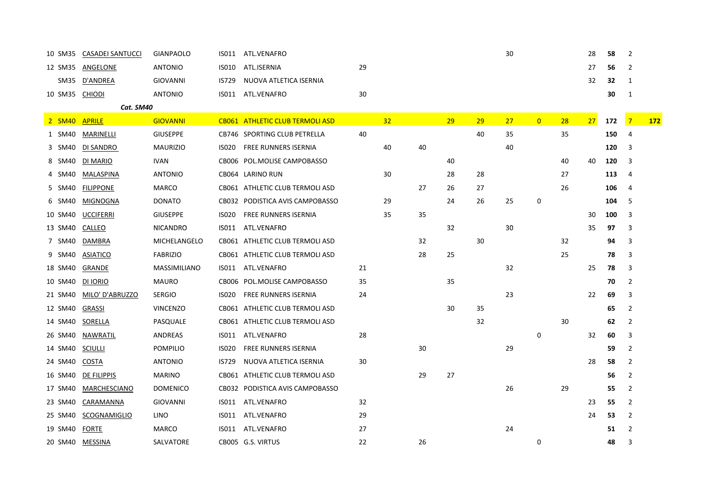| 10 SM35 | <b>CASADEI SANTUCCI</b> | <b>GIANPAOLO</b>    | IS011        | ATL.VENAFRO                     |    |                 |    |    |    | 30 |                |    | 28 | 58  | 2              |            |
|---------|-------------------------|---------------------|--------------|---------------------------------|----|-----------------|----|----|----|----|----------------|----|----|-----|----------------|------------|
| 12 SM35 | ANGELONE                | <b>ANTONIO</b>      | <b>ISO10</b> | ATL.ISERNIA                     | 29 |                 |    |    |    |    |                |    | 27 | 56  | 2              |            |
| SM35    | D'ANDREA                | <b>GIOVANNI</b>     | <b>IS729</b> | NUOVA ATLETICA ISERNIA          |    |                 |    |    |    |    |                |    | 32 | 32  | 1              |            |
| 10 SM35 | <b>CHIODI</b>           | <b>ANTONIO</b>      | IS011        | ATL.VENAFRO                     | 30 |                 |    |    |    |    |                |    |    | 30  | 1              |            |
|         | Cat. SM40               |                     |              |                                 |    |                 |    |    |    |    |                |    |    |     |                |            |
| 2 SM40  | <b>APRILE</b>           | <b>GIOVANNI</b>     |              | CB061 ATHLETIC CLUB TERMOLI ASD |    | 32 <sub>2</sub> |    | 29 | 29 | 27 | $\overline{0}$ | 28 | 27 | 172 | $\overline{7}$ | <u>172</u> |
| 1 SM40  | <b>MARINELLI</b>        | <b>GIUSEPPE</b>     |              | CB746 SPORTING CLUB PETRELLA    | 40 |                 |    |    | 40 | 35 |                | 35 |    | 150 | $\overline{4}$ |            |
| 3 SM40  | DI SANDRO               | <b>MAURIZIO</b>     | <b>ISO20</b> | <b>FREE RUNNERS ISERNIA</b>     |    | 40              | 40 |    |    | 40 |                |    |    | 120 | 3              |            |
| 8 SM40  | DI MARIO                | <b>IVAN</b>         | CB006        | POL.MOLISE CAMPOBASSO           |    |                 |    | 40 |    |    |                | 40 | 40 | 120 | 3              |            |
| 4 SM40  | MALASPINA               | <b>ANTONIO</b>      | CB064        | LARINO RUN                      |    | 30              |    | 28 | 28 |    |                | 27 |    | 113 | $\overline{4}$ |            |
| 5 SM40  | <b>FILIPPONE</b>        | <b>MARCO</b>        |              | CB061 ATHLETIC CLUB TERMOLI ASD |    |                 | 27 | 26 | 27 |    |                | 26 |    | 106 | 4              |            |
| 6 SM40  | <b>MIGNOGNA</b>         | <b>DONATO</b>       | CB032        | PODISTICA AVIS CAMPOBASSO       |    | 29              |    | 24 | 26 | 25 | 0              |    |    | 104 | 5              |            |
| 10 SM40 | <b>UCCIFERRI</b>        | <b>GIUSEPPE</b>     | <b>ISO20</b> | <b>FREE RUNNERS ISERNIA</b>     |    | 35              | 35 |    |    |    |                |    | 30 | 100 | 3              |            |
| 13 SM40 | <b>CALLEO</b>           | <b>NICANDRO</b>     | IS011        | ATL.VENAFRO                     |    |                 |    | 32 |    | 30 |                |    | 35 | 97  | 3              |            |
| 7 SM40  | DAMBRA                  | MICHELANGELO        | CB061        | ATHLETIC CLUB TERMOLI ASD       |    |                 | 32 |    | 30 |    |                | 32 |    | 94  | 3              |            |
| 9 SM40  | <b>ASIATICO</b>         | <b>FABRIZIO</b>     |              | CB061 ATHLETIC CLUB TERMOLI ASD |    |                 | 28 | 25 |    |    |                | 25 |    | 78  | 3              |            |
| 18 SM40 | GRANDE                  | <b>MASSIMILIANO</b> | ISO11        | ATL.VENAFRO                     | 21 |                 |    |    |    | 32 |                |    | 25 | 78  | 3              |            |
| 10 SM40 | DI IORIO                | <b>MAURO</b>        | CB006        | POL.MOLISE CAMPOBASSO           | 35 |                 |    | 35 |    |    |                |    |    | 70  | $\overline{2}$ |            |
| 21 SM40 | MILO' D'ABRUZZO         | <b>SERGIO</b>       | <b>ISO20</b> | <b>FREE RUNNERS ISERNIA</b>     | 24 |                 |    |    |    | 23 |                |    | 22 | 69  | 3              |            |
| 12 SM40 | <b>GRASSI</b>           | <b>VINCENZO</b>     | CB061        | ATHLETIC CLUB TERMOLI ASD       |    |                 |    | 30 | 35 |    |                |    |    | 65  | $\overline{2}$ |            |
| 14 SM40 | SORELLA                 | PASQUALE            |              | CB061 ATHLETIC CLUB TERMOLI ASD |    |                 |    |    | 32 |    |                | 30 |    | 62  | 2              |            |
| 26 SM40 | NAWRATIL                | ANDREAS             | IS011        | ATL.VENAFRO                     | 28 |                 |    |    |    |    | 0              |    | 32 | 60  | 3              |            |
| 14 SM40 | <b>SCIULLI</b>          | <b>POMPILIO</b>     | <b>ISO20</b> | <b>FREE RUNNERS ISERNIA</b>     |    |                 | 30 |    |    | 29 |                |    |    | 59  | 2              |            |
| 24 SM40 | COSTA                   | <b>ANTONIO</b>      | <b>IS729</b> | NUOVA ATLETICA ISERNIA          | 30 |                 |    |    |    |    |                |    | 28 | 58  | 2              |            |
| 16 SM40 | DE FILIPPIS             | <b>MARINO</b>       | CB061        | ATHLETIC CLUB TERMOLI ASD       |    |                 | 29 | 27 |    |    |                |    |    | 56  | 2              |            |
| 17 SM40 | MARCHESCIANO            | <b>DOMENICO</b>     | CB032        | PODISTICA AVIS CAMPOBASSO       |    |                 |    |    |    | 26 |                | 29 |    | 55  | 2              |            |
| 23 SM40 | CARAMANNA               | <b>GIOVANNI</b>     | ISO11        | ATL.VENAFRO                     | 32 |                 |    |    |    |    |                |    | 23 | 55  | 2              |            |
| 25 SM40 | <b>SCOGNAMIGLIO</b>     | LINO                | IS011        | ATL.VENAFRO                     | 29 |                 |    |    |    |    |                |    | 24 | 53  | 2              |            |
| 19 SM40 | <b>FORTE</b>            | <b>MARCO</b>        | IS011        | ATL.VENAFRO                     | 27 |                 |    |    |    | 24 |                |    |    | 51  | $\overline{2}$ |            |
| 20 SM40 | <b>MESSINA</b>          | SALVATORE           |              | CB005 G.S. VIRTUS               | 22 |                 | 26 |    |    |    | 0              |    |    | 48  | 3              |            |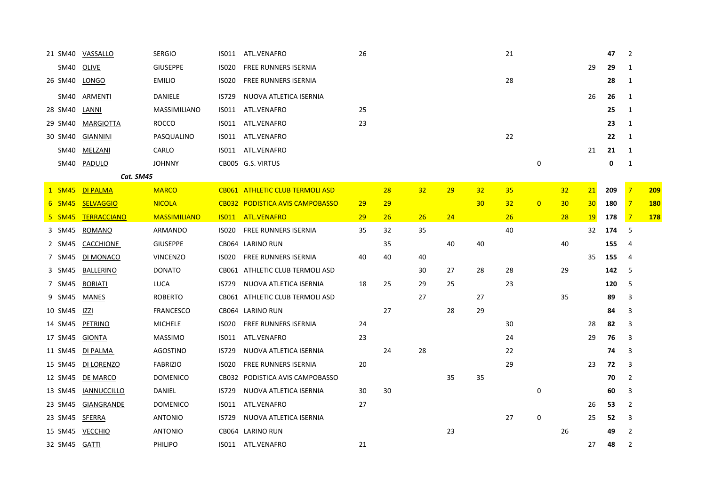| 21 SM40 | VASSALLO           | <b>SERGIO</b>       | IS011        | ATL.VENAFRO                     | 26        |    |    |    |    | 21 |                |    |                 | 47  | 2              |            |
|---------|--------------------|---------------------|--------------|---------------------------------|-----------|----|----|----|----|----|----------------|----|-----------------|-----|----------------|------------|
| SM40    | OLIVE              | <b>GIUSEPPE</b>     | <b>ISO20</b> | FREE RUNNERS ISERNIA            |           |    |    |    |    |    |                |    | 29              | 29  | 1              |            |
| 26 SM40 | <b>LONGO</b>       | <b>EMILIO</b>       | <b>ISO20</b> | FREE RUNNERS ISERNIA            |           |    |    |    |    | 28 |                |    |                 | 28  | $\mathbf{1}$   |            |
| SM40    | ARMENTI            | DANIELE             | <b>IS729</b> | NUOVA ATLETICA ISERNIA          |           |    |    |    |    |    |                |    | 26              | 26  | 1              |            |
| 28 SM40 | LANNI              | <b>MASSIMILIANO</b> | IS011        | ATL.VENAFRO                     | 25        |    |    |    |    |    |                |    |                 | 25  | $\mathbf{1}$   |            |
| 29 SM40 | <b>MARGIOTTA</b>   | <b>ROCCO</b>        | IS011        | ATL.VENAFRO                     | 23        |    |    |    |    |    |                |    |                 | 23  | $\mathbf{1}$   |            |
| 30 SM40 | <b>GIANNINI</b>    | PASQUALINO          | ISO11        | ATL.VENAFRO                     |           |    |    |    |    | 22 |                |    |                 | 22  | 1              |            |
| SM40    | MELZANI            | CARLO               |              | IS011 ATL.VENAFRO               |           |    |    |    |    |    |                |    | 21              | 21  | 1              |            |
| SM40    | PADULO             | <b>JOHNNY</b>       |              | CB005 G.S. VIRTUS               |           |    |    |    |    |    | 0              |    |                 | 0   | $\mathbf{1}$   |            |
|         | Cat. SM45          |                     |              |                                 |           |    |    |    |    |    |                |    |                 |     |                |            |
| 1 SM45  | <b>DI PALMA</b>    | <b>MARCO</b>        |              | CB061 ATHLETIC CLUB TERMOLI ASD |           | 28 | 32 | 29 | 32 | 35 |                | 32 | 21              | 209 | $\overline{7}$ | 209        |
| 6 SM45  | <b>SELVAGGIO</b>   | <b>NICOLA</b>       |              | CB032 PODISTICA AVIS CAMPOBASSO | 29        | 29 |    |    | 30 | 32 | $\overline{0}$ | 30 | 30 <sup>°</sup> | 180 | $\overline{7}$ | <b>180</b> |
| 5 SM45  | <b>TERRACCIANO</b> | <b>MASSIMILIANO</b> | <b>ISO11</b> | <b>ATL.VENAFRO</b>              | <b>29</b> | 26 | 26 | 24 |    | 26 |                | 28 | 19              | 178 | $\overline{7}$ | <b>178</b> |
| 3 SM45  | ROMANO             | ARMANDO             | <b>ISO20</b> | <b>FREE RUNNERS ISERNIA</b>     | 35        | 32 | 35 |    |    | 40 |                |    | 32              | 174 | 5              |            |
| 2 SM45  | <b>CACCHIONE</b>   | <b>GIUSEPPE</b>     |              | CB064 LARINO RUN                |           | 35 |    | 40 | 40 |    |                | 40 |                 | 155 | $\overline{4}$ |            |
| 7 SM45  | DI MONACO          | <b>VINCENZO</b>     | <b>ISO20</b> | <b>FREE RUNNERS ISERNIA</b>     | 40        | 40 | 40 |    |    |    |                |    | 35              | 155 | 4              |            |
| 3 SM45  | BALLERINO          | <b>DONATO</b>       |              | CB061 ATHLETIC CLUB TERMOLI ASD |           |    | 30 | 27 | 28 | 28 |                | 29 |                 | 142 | 5              |            |
| 7 SM45  | <b>BORIATI</b>     | <b>LUCA</b>         | <b>IS729</b> | NUOVA ATLETICA ISERNIA          | 18        | 25 | 29 | 25 |    | 23 |                |    |                 | 120 | 5              |            |
| 9 SM45  | MANES              | ROBERTO             |              | CB061 ATHLETIC CLUB TERMOLI ASD |           |    | 27 |    | 27 |    |                | 35 |                 | 89  | 3              |            |
| 10 SM45 | IZZI               | <b>FRANCESCO</b>    |              | CB064 LARINO RUN                |           | 27 |    | 28 | 29 |    |                |    |                 | 84  | 3              |            |
| 14 SM45 | PETRINO            | <b>MICHELE</b>      | <b>ISO20</b> | <b>FREE RUNNERS ISERNIA</b>     | 24        |    |    |    |    | 30 |                |    | 28              | 82  | 3              |            |
| 17 SM45 | GIONTA             | <b>MASSIMO</b>      | ISO11        | ATL.VENAFRO                     | 23        |    |    |    |    | 24 |                |    | 29              | 76  | 3              |            |
| 11 SM45 | DI PALMA           | <b>AGOSTINO</b>     | <b>IS729</b> | NUOVA ATLETICA ISERNIA          |           | 24 | 28 |    |    | 22 |                |    |                 | 74  | 3              |            |
| 15 SM45 | DI LORENZO         | <b>FABRIZIO</b>     | <b>ISO20</b> | <b>FREE RUNNERS ISERNIA</b>     | 20        |    |    |    |    | 29 |                |    | 23              | 72  | 3              |            |
| 12 SM45 | DE MARCO           | <b>DOMENICO</b>     |              | CB032 PODISTICA AVIS CAMPOBASSO |           |    |    | 35 | 35 |    |                |    |                 | 70  | $\overline{2}$ |            |
| 13 SM45 | <b>IANNUCCILLO</b> | DANIEL              | <b>IS729</b> | NUOVA ATLETICA ISERNIA          | 30        | 30 |    |    |    |    | 0              |    |                 | 60  | 3              |            |
| 23 SM45 | <b>GIANGRANDE</b>  | <b>DOMENICO</b>     | IS011        | ATL.VENAFRO                     | 27        |    |    |    |    |    |                |    | 26              | 53  | 2              |            |
| 23 SM45 | <b>SFERRA</b>      | ANTONIO             | IS729        | NUOVA ATLETICA ISERNIA          |           |    |    |    |    | 27 | 0              |    | 25              | 52  | 3              |            |
| 15 SM45 | <b>VECCHIO</b>     | <b>ANTONIO</b>      |              | CB064 LARINO RUN                |           |    |    | 23 |    |    |                | 26 |                 | 49  | 2              |            |
| 32 SM45 | GATTI              | PHILIPO             |              | IS011 ATL.VENAFRO               | 21        |    |    |    |    |    |                |    | 27              | 48  | 2              |            |
|         |                    |                     |              |                                 |           |    |    |    |    |    |                |    |                 |     |                |            |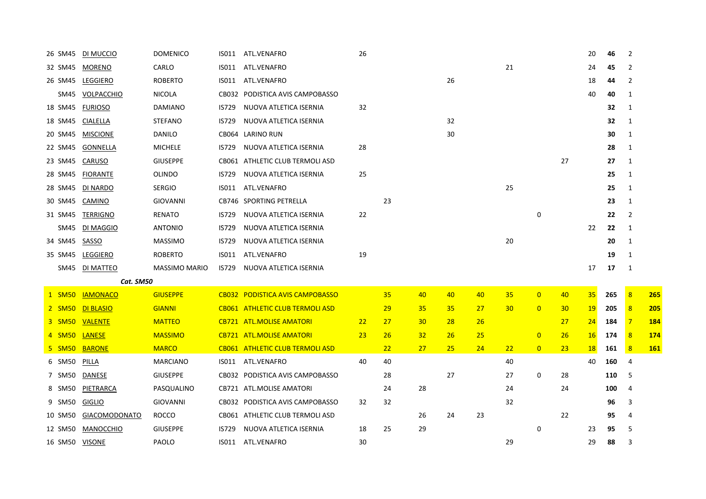| 26 SM45 | DI MUCCIO            | <b>DOMENICO</b>      | IS011        | ATL.VENAFRO                     | 26 |    |                 |           |    |    |                |    | 20        | 46  | 2              |            |
|---------|----------------------|----------------------|--------------|---------------------------------|----|----|-----------------|-----------|----|----|----------------|----|-----------|-----|----------------|------------|
| 32 SM45 | <b>MORENO</b>        | CARLO                | IS011        | ATL.VENAFRO                     |    |    |                 |           |    | 21 |                |    | 24        | 45  | $\overline{2}$ |            |
| 26 SM45 | LEGGIERO             | <b>ROBERTO</b>       | IS011        | ATL.VENAFRO                     |    |    |                 | 26        |    |    |                |    | 18        | 44  | 2              |            |
| SM45    | VOLPACCHIO           | <b>NICOLA</b>        |              | CB032 PODISTICA AVIS CAMPOBASSO |    |    |                 |           |    |    |                |    | 40        | 40  | $\mathbf{1}$   |            |
| 18 SM45 | <b>FURIOSO</b>       | <b>DAMIANO</b>       | IS729        | NUOVA ATLETICA ISERNIA          | 32 |    |                 |           |    |    |                |    |           | 32  | $\mathbf{1}$   |            |
| 18 SM45 | <b>CIALELLA</b>      | <b>STEFANO</b>       | IS729        | NUOVA ATLETICA ISERNIA          |    |    |                 | 32        |    |    |                |    |           | 32  | 1              |            |
| 20 SM45 | <b>MISCIONE</b>      | <b>DANILO</b>        | CB064        | LARINO RUN                      |    |    |                 | 30        |    |    |                |    |           | 30  | $\mathbf{1}$   |            |
| 22 SM45 | GONNELLA             | <b>MICHELE</b>       | <b>IS729</b> | NUOVA ATLETICA ISERNIA          | 28 |    |                 |           |    |    |                |    |           | 28  | 1              |            |
| 23 SM45 | CARUSO               | <b>GIUSEPPE</b>      |              | CB061 ATHLETIC CLUB TERMOLI ASD |    |    |                 |           |    |    |                | 27 |           | 27  | 1              |            |
| 28 SM45 | <b>FIORANTE</b>      | <b>OLINDO</b>        | IS729        | NUOVA ATLETICA ISERNIA          | 25 |    |                 |           |    |    |                |    |           | 25  | $\mathbf{1}$   |            |
| 28 SM45 | DI NARDO             | <b>SERGIO</b>        | IS011        | ATL.VENAFRO                     |    |    |                 |           |    | 25 |                |    |           | 25  | 1              |            |
| 30 SM45 | CAMINO               | <b>GIOVANNI</b>      |              | CB746 SPORTING PETRELLA         |    | 23 |                 |           |    |    |                |    |           | 23  | 1              |            |
| 31 SM45 | <b>TERRIGNO</b>      | RENATO               | <b>IS729</b> | NUOVA ATLETICA ISERNIA          | 22 |    |                 |           |    |    | 0              |    |           | 22  | $\overline{2}$ |            |
| SM45    | DI MAGGIO            | <b>ANTONIO</b>       | <b>IS729</b> | NUOVA ATLETICA ISERNIA          |    |    |                 |           |    |    |                |    | 22        | 22  | 1              |            |
| 34 SM45 | SASSO                | <b>MASSIMO</b>       | IS729        | NUOVA ATLETICA ISERNIA          |    |    |                 |           |    | 20 |                |    |           | 20  | 1              |            |
| 35 SM45 | LEGGIERO             | <b>ROBERTO</b>       | IS011        | ATL.VENAFRO                     | 19 |    |                 |           |    |    |                |    |           | 19  | 1              |            |
| SM45    | DI MATTEO            | <b>MASSIMO MARIO</b> | IS729        | NUOVA ATLETICA ISERNIA          |    |    |                 |           |    |    |                |    | 17        | 17  | 1              |            |
|         | Cat. SM50            |                      |              |                                 |    |    |                 |           |    |    |                |    |           |     |                |            |
| 1 SM50  | <b>IAMONACO</b>      | <b>GIUSEPPE</b>      |              | CB032 PODISTICA AVIS CAMPOBASSO |    | 35 | 40              | 40        | 40 | 35 | $\overline{0}$ | 40 | 35        | 265 | 8              | 265        |
| 2 SM50  | <b>DI BLASIO</b>     | <b>GIANNI</b>        |              | CB061 ATHLETIC CLUB TERMOLI ASD |    | 29 | 35              | 35        | 27 | 30 | $\overline{0}$ | 30 | <b>19</b> | 205 | 8              | <b>205</b> |
| 3 SM50  | <b>VALENTE</b>       | <b>MATTEO</b>        |              | <b>CB721 ATL.MOLISE AMATORI</b> | 22 | 27 | 30 <sub>o</sub> | <b>28</b> | 26 |    |                | 27 | 24        | 184 | $\overline{7}$ | 184        |
| 4 SM50  | <b>LANESE</b>        | <b>MASSIMO</b>       |              | <b>CB721 ATL.MOLISE AMATORI</b> | 23 | 26 | 32              | 26        | 25 |    | $\overline{0}$ | 26 | 16        | 174 | 8              | 174        |
| 5 SM50  | <b>BARONE</b>        | <b>MARCO</b>         |              | CB061 ATHLETIC CLUB TERMOLI ASD |    | 22 | 27              | 25        | 24 | 22 | $\overline{0}$ | 23 | <b>18</b> | 161 | 8              | <b>161</b> |
| 6 SM50  | PILLA                | <b>MARCIANO</b>      | ISO11        | ATL.VENAFRO                     | 40 | 40 |                 |           |    | 40 |                |    | 40        | 160 | $\overline{4}$ |            |
| 7 SM50  | DANESE               | <b>GIUSEPPE</b>      |              | CB032 PODISTICA AVIS CAMPOBASSO |    | 28 |                 | 27        |    | 27 | 0              | 28 |           | 110 | 5              |            |
| 8 SM50  | PIETRARCA            | PASQUALINO           |              | CB721 ATL.MOLISE AMATORI        |    | 24 | 28              |           |    | 24 |                | 24 |           | 100 | 4              |            |
| 9 SM50  | <b>GIGLIO</b>        | GIOVANNI             |              | CB032 PODISTICA AVIS CAMPOBASSO | 32 | 32 |                 |           |    | 32 |                |    |           | 96  | 3              |            |
| 10 SM50 | <b>GIACOMODONATO</b> | <b>ROCCO</b>         |              | CB061 ATHLETIC CLUB TERMOLI ASD |    |    | 26              | 24        | 23 |    |                | 22 |           | 95  | 4              |            |
| 12 SM50 | <b>MANOCCHIO</b>     | <b>GIUSEPPE</b>      | IS729        | NUOVA ATLETICA ISERNIA          | 18 | 25 | 29              |           |    |    | 0              |    | 23        | 95  | 5              |            |
| 16 SM50 | <b>VISONE</b>        | <b>PAOLO</b>         | ISO11        | ATL.VENAFRO                     | 30 |    |                 |           |    | 29 |                |    | 29        | 88  | 3              |            |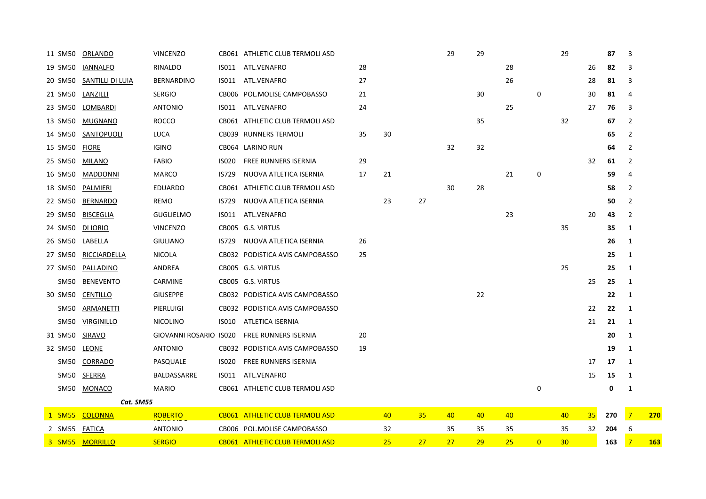| 11 SM50          | ORLANDO           | <b>VINCENZO</b>        |              | CB061 ATHLETIC CLUB TERMOLI ASD |    |    |    | 29 | 29 |           |                | 29              |    | 87  | 3              |            |
|------------------|-------------------|------------------------|--------------|---------------------------------|----|----|----|----|----|-----------|----------------|-----------------|----|-----|----------------|------------|
| 19 SM50          | <b>IANNALFO</b>   | RINALDO                | ISO11        | ATL.VENAFRO                     | 28 |    |    |    |    | 28        |                |                 | 26 | 82  | 3              |            |
| 20 SM50          | SANTILLI DI LUIA  | <b>BERNARDINO</b>      | IS011        | ATL.VENAFRO                     | 27 |    |    |    |    | 26        |                |                 | 28 | 81  | 3              |            |
| 21 SM50          | LANZILLI          | <b>SERGIO</b>          |              | CB006 POL.MOLISE CAMPOBASSO     | 21 |    |    |    | 30 |           | 0              |                 | 30 | 81  | 4              |            |
| 23 SM50          | LOMBARDI          | <b>ANTONIO</b>         | IS011        | ATL.VENAFRO                     | 24 |    |    |    |    | 25        |                |                 | 27 | 76  | 3              |            |
| 13 SM50          | MUGNANO           | <b>ROCCO</b>           |              | CB061 ATHLETIC CLUB TERMOLI ASD |    |    |    |    | 35 |           |                | 32              |    | 67  | $\overline{2}$ |            |
| 14 SM50          | SANTOPUOLI        | LUCA                   |              | CB039 RUNNERS TERMOLI           | 35 | 30 |    |    |    |           |                |                 |    | 65  | $\overline{2}$ |            |
| 15 SM50          | <b>FIORE</b>      | <b>IGINO</b>           |              | CB064 LARINO RUN                |    |    |    | 32 | 32 |           |                |                 |    | 64  | $\overline{2}$ |            |
| 25 SM50          | MILANO            | <b>FABIO</b>           | <b>ISO20</b> | <b>FREE RUNNERS ISERNIA</b>     | 29 |    |    |    |    |           |                |                 | 32 | 61  | 2              |            |
| 16 SM50          | <b>MADDONNI</b>   | MARCO                  | <b>IS729</b> | NUOVA ATLETICA ISERNIA          | 17 | 21 |    |    |    | 21        | 0              |                 |    | 59  | 4              |            |
| 18 SM50          | <b>PALMIERI</b>   | <b>EDUARDO</b>         |              | CB061 ATHLETIC CLUB TERMOLI ASD |    |    |    | 30 | 28 |           |                |                 |    | 58  | $\overline{2}$ |            |
| 22 SM50          | <b>BERNARDO</b>   | <b>REMO</b>            | <b>IS729</b> | NUOVA ATLETICA ISERNIA          |    | 23 | 27 |    |    |           |                |                 |    | 50  | $\overline{2}$ |            |
| 29 SM50          | <b>BISCEGLIA</b>  | <b>GUGLIELMO</b>       | ISO11        | ATL.VENAFRO                     |    |    |    |    |    | 23        |                |                 | 20 | 43  | 2              |            |
| 24 SM50          | DI IORIO          | <b>VINCENZO</b>        |              | CB005 G.S. VIRTUS               |    |    |    |    |    |           |                | 35              |    | 35  | 1              |            |
| 26 SM50          | LABELLA           | <b>GIULIANO</b>        | IS729        | NUOVA ATLETICA ISERNIA          | 26 |    |    |    |    |           |                |                 |    | 26  | 1              |            |
| 27 SM50          | RICCIARDELLA      | <b>NICOLA</b>          |              | CB032 PODISTICA AVIS CAMPOBASSO | 25 |    |    |    |    |           |                |                 |    | 25  | 1              |            |
| 27 SM50          | PALLADINO         | ANDREA                 |              | CB005 G.S. VIRTUS               |    |    |    |    |    |           |                | 25              |    | 25  | 1              |            |
| SM50             | <b>BENEVENTO</b>  | CARMINE                |              | CB005 G.S. VIRTUS               |    |    |    |    |    |           |                |                 | 25 | 25  | 1              |            |
| 30 SM50          | <b>CENTILLO</b>   | <b>GIUSEPPE</b>        |              | CB032 PODISTICA AVIS CAMPOBASSO |    |    |    |    | 22 |           |                |                 |    | 22  | 1              |            |
| SM50             | ARMANETTI         | PIERLUIGI              |              | CB032 PODISTICA AVIS CAMPOBASSO |    |    |    |    |    |           |                |                 | 22 | 22  | 1              |            |
| SM <sub>50</sub> | <b>VIRGINILLO</b> | <b>NICOLINO</b>        | ISO10        | ATLETICA ISERNIA                |    |    |    |    |    |           |                |                 | 21 | 21  | 1              |            |
| 31 SM50          | SIRAVO            | GIOVANNI ROSARIO IS020 |              | <b>FREE RUNNERS ISERNIA</b>     | 20 |    |    |    |    |           |                |                 |    | 20  | 1              |            |
| 32 SM50          | <b>LEONE</b>      | <b>ANTONIO</b>         |              | CB032 PODISTICA AVIS CAMPOBASSO | 19 |    |    |    |    |           |                |                 |    | 19  | 1              |            |
| <b>SM50</b>      | CORRADO           | PASQUALE               | <b>ISO20</b> | FREE RUNNERS ISERNIA            |    |    |    |    |    |           |                |                 | 17 | 17  | 1              |            |
| SM50             | SFERRA            | BALDASSARRE            | ISO11        | ATL.VENAFRO                     |    |    |    |    |    |           |                |                 | 15 | 15  | 1              |            |
| SM50             | <b>MONACO</b>     | <b>MARIO</b>           |              | CB061 ATHLETIC CLUB TERMOLI ASD |    |    |    |    |    |           | 0              |                 |    | 0   | 1              |            |
|                  | Cat. SM55         |                        |              |                                 |    |    |    |    |    |           |                |                 |    |     |                |            |
| 1 SM55           | <b>COLONNA</b>    | <b>ROBERTO</b>         |              | CB061 ATHLETIC CLUB TERMOLI ASD |    | 40 | 35 | 40 | 40 | 40        |                | 40              | 35 | 270 | $\overline{7}$ | 270        |
| 2 SM55           | <b>FATICA</b>     | <b>ANTONIO</b>         |              | CB006 POL.MOLISE CAMPOBASSO     |    | 32 |    | 35 | 35 | 35        |                | 35              | 32 | 204 | 6              |            |
| 3 SM55           | <b>MORRILLO</b>   | <b>SERGIO</b>          |              | CB061 ATHLETIC CLUB TERMOLI ASD |    | 25 | 27 | 27 | 29 | <b>25</b> | $\overline{0}$ | 30 <sub>2</sub> |    | 163 | $\overline{7}$ | <b>163</b> |
|                  |                   |                        |              |                                 |    |    |    |    |    |           |                |                 |    |     |                |            |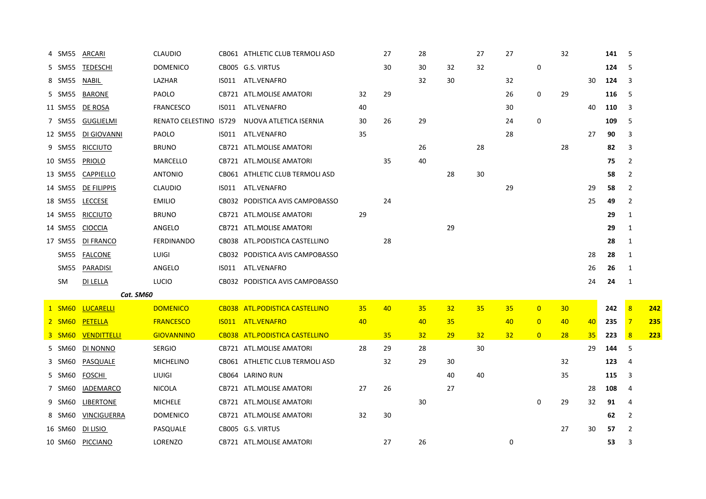| 4 SM55  | ARCARI           | <b>CLAUDIO</b>         | CB061 ATHLETIC CLUB TERMOLI ASD |    | 27 | 28              |           | 27              | 27              |                | 32              |    | 141 | 5              |             |
|---------|------------------|------------------------|---------------------------------|----|----|-----------------|-----------|-----------------|-----------------|----------------|-----------------|----|-----|----------------|-------------|
| 5 SM55  | <b>TEDESCHI</b>  | <b>DOMENICO</b>        | CB005 G.S. VIRTUS               |    | 30 | 30              | 32        | 32              |                 | $\mathbf 0$    |                 |    | 124 | 5              |             |
| 8 SM55  | NABIL            | LAZHAR                 | IS011 ATL.VENAFRO               |    |    | 32              | 30        |                 | 32              |                |                 | 30 | 124 | 3              |             |
| 5 SM55  | BARONE           | PAOLO                  | CB721 ATL.MOLISE AMATORI        | 32 | 29 |                 |           |                 | 26              | 0              | 29              |    | 116 | 5              |             |
| 11 SM55 | DE ROSA          | <b>FRANCESCO</b>       | IS011 ATL.VENAFRO               | 40 |    |                 |           |                 | 30              |                |                 | 40 | 110 | 3              |             |
| 7 SM55  | GUGLIELMI        | RENATO CELESTINO IS729 | NUOVA ATLETICA ISERNIA          | 30 | 26 | 29              |           |                 | 24              | $\mathsf 0$    |                 |    | 109 | 5              |             |
| 12 SM55 | DI GIOVANNI      | <b>PAOLO</b>           | IS011 ATL.VENAFRO               | 35 |    |                 |           |                 | 28              |                |                 | 27 | 90  | 3              |             |
| 9 SM55  | <b>RICCIUTO</b>  | <b>BRUNO</b>           | CB721 ATL.MOLISE AMATORI        |    |    | 26              |           | 28              |                 |                | 28              |    | 82  | 3              |             |
| 10 SM55 | PRIOLO           | MARCELLO               | CB721 ATL.MOLISE AMATORI        |    | 35 | 40              |           |                 |                 |                |                 |    | 75  | $\overline{2}$ |             |
| 13 SM55 | CAPPIELLO        | <b>ANTONIO</b>         | CB061 ATHLETIC CLUB TERMOLI ASD |    |    |                 | 28        | 30              |                 |                |                 |    | 58  | $\overline{2}$ |             |
| 14 SM55 | DE FILIPPIS      | <b>CLAUDIO</b>         | IS011 ATL.VENAFRO               |    |    |                 |           |                 | 29              |                |                 | 29 | 58  | $\overline{2}$ |             |
| 18 SM55 | LECCESE          | <b>EMILIO</b>          | CB032 PODISTICA AVIS CAMPOBASSO |    | 24 |                 |           |                 |                 |                |                 | 25 | 49  | $\overline{2}$ |             |
| 14 SM55 | <b>RICCIUTO</b>  | <b>BRUNO</b>           | CB721 ATL.MOLISE AMATORI        | 29 |    |                 |           |                 |                 |                |                 |    | 29  | $\mathbf{1}$   |             |
| 14 SM55 | <b>CIOCCIA</b>   | ANGELO                 | CB721 ATL.MOLISE AMATORI        |    |    |                 | 29        |                 |                 |                |                 |    | 29  | 1              |             |
| 17 SM55 | DI FRANCO        | <b>FERDINANDO</b>      | CB038 ATL.PODISTICA CASTELLINO  |    | 28 |                 |           |                 |                 |                |                 |    | 28  | 1              |             |
| SM55    | FALCONE          | LUIGI                  | CB032 PODISTICA AVIS CAMPOBASSO |    |    |                 |           |                 |                 |                |                 | 28 | 28  | 1              |             |
| SM55    | PARADISI         | ANGELO                 | IS011 ATL.VENAFRO               |    |    |                 |           |                 |                 |                |                 | 26 | 26  | 1              |             |
| SM      | DI LELLA         | <b>LUCIO</b>           | CB032 PODISTICA AVIS CAMPOBASSO |    |    |                 |           |                 |                 |                |                 | 24 | 24  | 1              |             |
|         | Cat. SM60        |                        |                                 |    |    |                 |           |                 |                 |                |                 |    |     |                |             |
| 1 SM60  | <b>LUCARELLI</b> | <b>DOMENICO</b>        | CB038 ATL.PODISTICA CASTELLINO  | 35 | 40 | 35              | 32        | 35              | 35              | $\overline{0}$ | 30 <sub>2</sub> |    | 242 | 8              | <u> 242</u> |
| 2 SM60  | <b>PETELLA</b>   | <b>FRANCESCO</b>       | IS011 ATL.VENAFRO               | 40 |    | 40              | 35        |                 | 40              | $\overline{0}$ | 40              | 40 | 235 | $\overline{7}$ | 235         |
| 3 SM60  | VENDITTELLI      | <b>GIOVANNINO</b>      | CB038 ATL.PODISTICA CASTELLINO  |    | 35 | 32 <sub>2</sub> | <b>29</b> | 32 <sub>2</sub> | 32 <sub>2</sub> | $\overline{0}$ | 28              | 35 | 223 | 8              | <u>223</u>  |
| 5 SM60  | DI NONNO         | <b>SERGIO</b>          | CB721 ATL.MOLISE AMATORI        | 28 | 29 | 28              |           | 30              |                 |                |                 | 29 | 144 | 5              |             |
| 3 SM60  | PASQUALE         | <b>MICHELINO</b>       | CB061 ATHLETIC CLUB TERMOLI ASD |    | 32 | 29              | 30        |                 |                 |                | 32              |    | 123 | $\overline{4}$ |             |
| 5 SM60  | <b>FOSCHI</b>    | <b>LIUIGI</b>          | CB064 LARINO RUN                |    |    |                 | 40        | 40              |                 |                | 35              |    | 115 | 3              |             |
| 7 SM60  | <b>IADEMARCO</b> | <b>NICOLA</b>          | CB721 ATL.MOLISE AMATORI        | 27 | 26 |                 | 27        |                 |                 |                |                 | 28 | 108 | 4              |             |
| 9 SM60  | LIBERTONE        | <b>MICHELE</b>         | CB721 ATL.MOLISE AMATORI        |    |    | 30              |           |                 |                 | 0              | 29              | 32 | 91  | $\overline{4}$ |             |
| 8 SM60  | VINCIGUERRA      | <b>DOMENICO</b>        | CB721 ATL.MOLISE AMATORI        | 32 | 30 |                 |           |                 |                 |                |                 |    | 62  | 2              |             |
| 16 SM60 | DI LISIO         | PASQUALE               | CB005 G.S. VIRTUS               |    |    |                 |           |                 |                 |                | 27              | 30 | 57  | $\overline{2}$ |             |
| 10 SM60 | PICCIANO         | LORENZO                | CB721 ATL.MOLISE AMATORI        |    | 27 | 26              |           |                 | 0               |                |                 |    | 53  | 3              |             |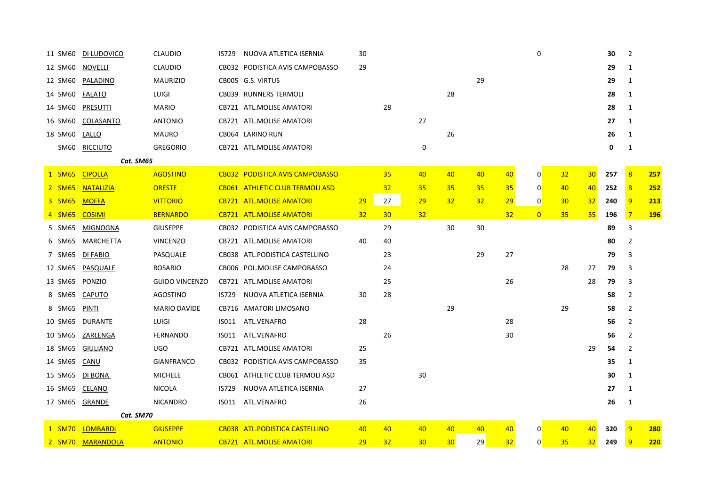| 11 SM60     | DI LUDOVICO      | <b>CLAUDIO</b>        | IS729 | NUOVA ATLETICA ISERNIA                 | 30        |    |           |                 |    |    | 0              |    |                 | 30          | 2              |            |
|-------------|------------------|-----------------------|-------|----------------------------------------|-----------|----|-----------|-----------------|----|----|----------------|----|-----------------|-------------|----------------|------------|
| 12 SM60     | <b>NOVELLI</b>   | <b>CLAUDIO</b>        |       | CB032 PODISTICA AVIS CAMPOBASSO        | 29        |    |           |                 |    |    |                |    |                 | 29          | 1              |            |
| 12 SM60     | PALADINO         | <b>MAURIZIO</b>       |       | CB005 G.S. VIRTUS                      |           |    |           |                 | 29 |    |                |    |                 | 29          | 1              |            |
| 14 SM60     | <b>FALATO</b>    | LUIGI                 |       | CB039 RUNNERS TERMOLI                  |           |    |           | 28              |    |    |                |    |                 | 28          | 1              |            |
| 14 SM60     | <b>PRESUTTI</b>  | <b>MARIO</b>          |       | CB721 ATL.MOLISE AMATORI               |           | 28 |           |                 |    |    |                |    |                 | 28          | 1              |            |
| 16 SM60     | COLASANTO        | <b>ANTONIO</b>        |       | CB721 ATL.MOLISE AMATORI               |           |    | 27        |                 |    |    |                |    |                 | 27          | 1              |            |
| 18 SM60     | LALLO            | <b>MAURO</b>          |       | CB064 LARINO RUN                       |           |    |           | 26              |    |    |                |    |                 | 26          | 1              |            |
| <b>SM60</b> | <b>RICCIUTO</b>  | <b>GREGORIO</b>       |       | CB721 ATL.MOLISE AMATORI               |           |    | 0         |                 |    |    |                |    |                 | $\mathbf 0$ | 1              |            |
|             | Cat. SM65        |                       |       |                                        |           |    |           |                 |    |    |                |    |                 |             |                |            |
| 1 SM65      | <b>CIPOLLA</b>   | <b>AGOSTINO</b>       |       | CB032 PODISTICA AVIS CAMPOBASSO        |           | 35 | 40        | 40              | 40 | 40 | 0              | 32 | 30 <sub>o</sub> | 257         | 8              | 257        |
| 2 SM65      | <b>NATALIZIA</b> | <b>ORESTE</b>         |       | <b>CB061 ATHLETIC CLUB TERMOLI ASD</b> |           | 32 | 35        | 35              | 35 | 35 | 0              | 40 | 40              | 252         | 8              | 252        |
| 3 SM65      | <b>MOFFA</b>     | <b>VITTORIO</b>       |       | <b>CB721 ATL.MOLISE AMATORI</b>        | <b>29</b> | 27 | <b>29</b> | 32              | 32 | 29 | 0              | 30 | 32 <sub>2</sub> | 240         | 9              | 213        |
| 4 SM65      | <b>COSIMI</b>    | <b>BERNARDO</b>       |       | <b>CB721 ATL.MOLISE AMATORI</b>        | 32        | 30 | 32        |                 |    | 32 | $\overline{0}$ | 35 | 35              | 196         | $\overline{7}$ | <b>196</b> |
| 5 SM65      | MIGNOGNA         | <b>GIUSEPPE</b>       |       | CB032 PODISTICA AVIS CAMPOBASSO        |           | 29 |           | 30              | 30 |    |                |    |                 | 89          | 3              |            |
| 6 SM65      | MARCHETTA        | <b>VINCENZO</b>       |       | CB721 ATL.MOLISE AMATORI               | 40        | 40 |           |                 |    |    |                |    |                 | 80          | $\overline{2}$ |            |
| 7 SM65      | DI FABIO         | PASQUALE              |       | CB038 ATL.PODISTICA CASTELLINO         |           | 23 |           |                 | 29 | 27 |                |    |                 | 79          | 3              |            |
| 12 SM65     | PASQUALE         | <b>ROSARIO</b>        |       | CB006 POL.MOLISE CAMPOBASSO            |           | 24 |           |                 |    |    |                | 28 | 27              | 79          | 3              |            |
| 13 SM65     | PONZIO           | <b>GUIDO VINCENZO</b> |       | CB721 ATL.MOLISE AMATORI               |           | 25 |           |                 |    | 26 |                |    | 28              | 79          | 3              |            |
| 8 SM65      | <b>CAPUTO</b>    | AGOSTINO              | IS729 | NUOVA ATLETICA ISERNIA                 | 30        | 28 |           |                 |    |    |                |    |                 | 58          | $\overline{2}$ |            |
| 8 SM65      | <b>PINTI</b>     | <b>MARIO DAVIDE</b>   |       | CB716 AMATORI LIMOSANO                 |           |    |           | 29              |    |    |                | 29 |                 | 58          | $\overline{2}$ |            |
| 10 SM65     | DURANTE          | <b>LUIGI</b>          | ISO11 | ATL.VENAFRO                            | 28        |    |           |                 |    | 28 |                |    |                 | 56          | 2              |            |
| 10 SM65     | ZARLENGA         | <b>FERNANDO</b>       | IS011 | ATL.VENAFRO                            |           | 26 |           |                 |    | 30 |                |    |                 | 56          | $\overline{2}$ |            |
| 18 SM65     | GIULIANO         | <b>UGO</b>            |       | CB721 ATL.MOLISE AMATORI               | 25        |    |           |                 |    |    |                |    | 29              | 54          | 2              |            |
| 14 SM65     | CANU             | <b>GIANFRANCO</b>     |       | CB032 PODISTICA AVIS CAMPOBASSO        | 35        |    |           |                 |    |    |                |    |                 | 35          | 1              |            |
| 15 SM65     | DI BONA          | <b>MICHELE</b>        |       | CB061 ATHLETIC CLUB TERMOLI ASD        |           |    | 30        |                 |    |    |                |    |                 | 30          | 1              |            |
| 16 SM65     | CELANO           | <b>NICOLA</b>         | IS729 | NUOVA ATLETICA ISERNIA                 | 27        |    |           |                 |    |    |                |    |                 | 27          | 1              |            |
| 17 SM65     | GRANDE           | <b>NICANDRO</b>       | ISO11 | ATL.VENAFRO                            | 26        |    |           |                 |    |    |                |    |                 | 26          | 1              |            |
|             | Cat. SM70        |                       |       |                                        |           |    |           |                 |    |    |                |    |                 |             |                |            |
| 1 SM70      | <b>LOMBARDI</b>  | <b>GIUSEPPE</b>       |       | CB038 ATL.PODISTICA CASTELLINO         | 40        | 40 | 40        | 40              | 40 | 40 | $\overline{0}$ | 40 | 40              | 320         | 9              | <b>280</b> |
| 2 SM70      | <b>MARANDOLA</b> | <b>ANTONIO</b>        |       | <b>CB721 ATL.MOLISE AMATORI</b>        | 29        | 32 | 30        | 30 <sub>2</sub> | 29 | 32 | $\overline{0}$ | 35 | 32              | 249         | 9              | 220        |